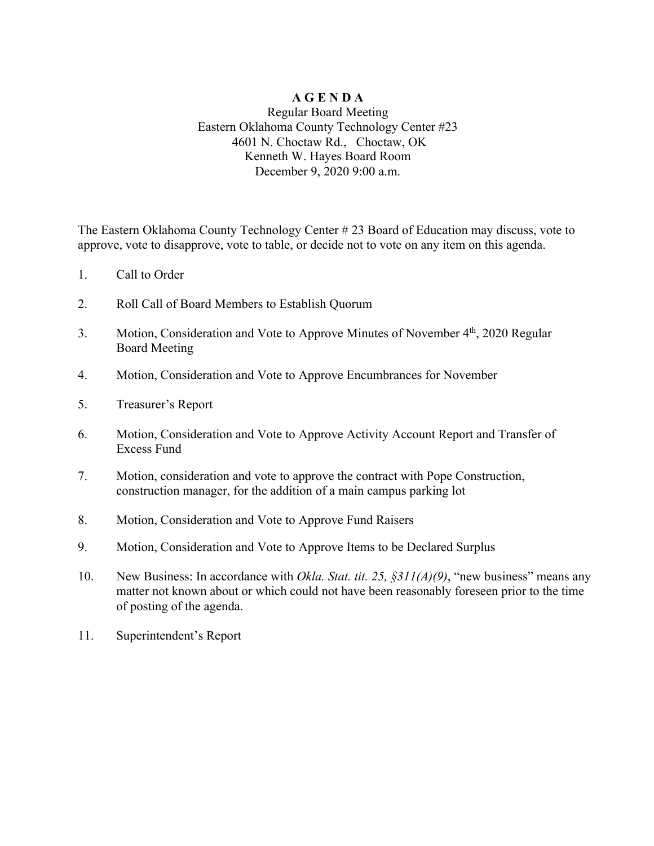### **A G E N D A**

#### Regular Board Meeting Eastern Oklahoma County Technology Center #23 4601 N. Choctaw Rd., Choctaw, OK Kenneth W. Hayes Board Room December 9, 2020 9:00 a.m.

The Eastern Oklahoma County Technology Center # 23 Board of Education may discuss, vote to approve, vote to disapprove, vote to table, or decide not to vote on any item on this agenda.

- 1. Call to Order
- 2. Roll Call of Board Members to Establish Quorum
- 3. Motion, Consideration and Vote to Approve Minutes of November 4<sup>th</sup>, 2020 Regular Board Meeting
- 4. Motion, Consideration and Vote to Approve Encumbrances for November
- 5. Treasurer's Report
- 6. Motion, Consideration and Vote to Approve Activity Account Report and Transfer of Excess Fund
- 7. Motion, consideration and vote to approve the contract with Pope Construction, construction manager, for the addition of a main campus parking lot
- 8. Motion, Consideration and Vote to Approve Fund Raisers
- 9. Motion, Consideration and Vote to Approve Items to be Declared Surplus
- 10. New Business: In accordance with *Okla. Stat. tit. 25, §311(A)(9)*, "new business" means any matter not known about or which could not have been reasonably foreseen prior to the time of posting of the agenda.
- 11. Superintendent's Report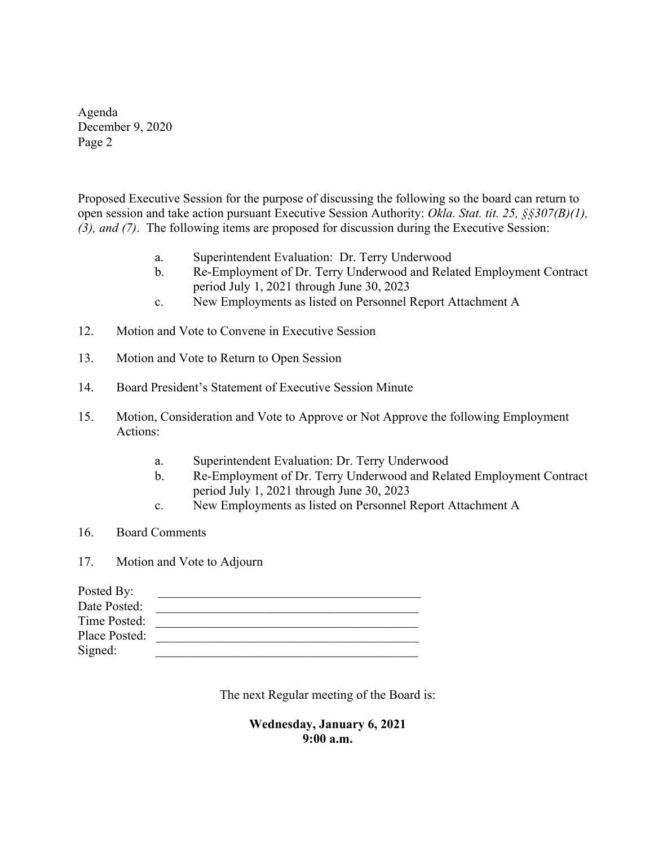Agenda December 9, 2020 Page 2

Proposed Executive Session for the purpose of discussing the following so the board can return to open session and take action pursuant Executive Session Authority: *Okla. Stat. tit. 25, §§307(B)(1), (3), and (7)*. The following items are proposed for discussion during the Executive Session:

- a. Superintendent Evaluation: Dr. Terry Underwood
- b. Re-Employment of Dr. Terry Underwood and Related Employment Contract period July 1, 2021 through June 30, 2023
- c. New Employments as listed on Personnel Report Attachment A
- 12. Motion and Vote to Convene in Executive Session
- 13. Motion and Vote to Return to Open Session
- 14. Board President's Statement of Executive Session Minute
- 15. Motion, Consideration and Vote to Approve or Not Approve the following Employment Actions:
	- a. Superintendent Evaluation: Dr. Terry Underwood
	- b. Re-Employment of Dr. Terry Underwood and Related Employment Contract period July 1, 2021 through June 30, 2023
	- c. New Employments as listed on Personnel Report Attachment A
- 16. Board Comments
- 17. Motion and Vote to Adjourn

| Posted By:    |  |
|---------------|--|
| Date Posted:  |  |
| Time Posted:  |  |
| Place Posted: |  |
| Signed:       |  |

The next Regular meeting of the Board is:

**Wednesday, January 6, 2021 9:00 a.m.**